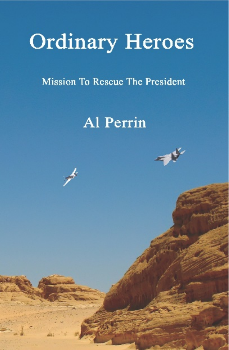# **Ordinary Heroes**

Mission To Rescue The President

## Al Perrin

 $\mathbf{z}^{\prime}$ 

一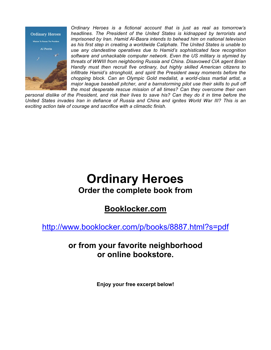

*Ordinary Heroes is a fictional account that is just as real as tomorrow's headlines. The President of the United States is kidnapped by terrorists and imprisoned by Iran. Hamid Al-Basra intends to behead him on national television as his first step in creating a worldwide Caliphate. The United States is unable to use any clandestine operatives due to Hamid's sophisticated face recognition software and unhackable computer network. Even the US military is stymied by threats of WWIII from neighboring Russia and China. Disavowed CIA agent Brian Handly must then recruit five ordinary, but highly skilled American citizens to infiltrate Hamid's stronghold, and spirit the President away moments before the chopping block. Can an Olympic Gold medalist, a world-class martial artist, a major league baseball pitcher, and a barnstorming pilot use their skills to pull off the most desperate rescue mission of all times? Can they overcome their own* 

*personal dislike of the President, and risk their lives to save his? Can they do it in time before the United States invades Iran in defiance of Russia and China and ignites World War III? This is an exciting action tale of courage and sacrifice with a climactic finish.*

## **Ordinary Heroes Order the complete book from**

**Booklocker.com**

http://www.booklocker.com/p/books/8887.html?s=pdf

### **or from your favorite neighborhood or online bookstore.**

**Enjoy your free excerpt below!**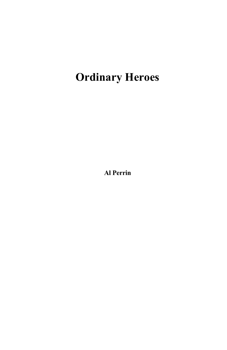## **Ordinary Heroes**

**Al Perrin**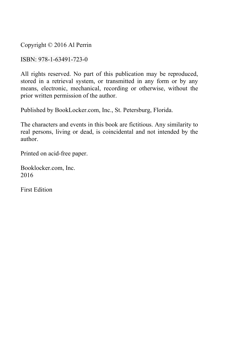Copyright © 2016 Al Perrin

ISBN: 978-1-63491-723-0

All rights reserved. No part of this publication may be reproduced, stored in a retrieval system, or transmitted in any form or by any means, electronic, mechanical, recording or otherwise, without the prior written permission of the author.

Published by BookLocker.com, Inc., St. Petersburg, Florida.

The characters and events in this book are fictitious. Any similarity to real persons, living or dead, is coincidental and not intended by the author.

Printed on acid-free paper.

Booklocker.com, Inc. 2016

First Edition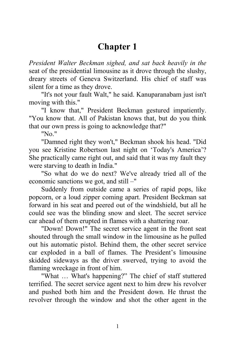#### **Chapter 1**

*President Walter Beckman sighed, and sat back heavily in the* seat of the presidential limousine as it drove through the slushy, dreary streets of Geneva Switzerland. His chief of staff was silent for a time as they drove.

"It's not your fault Walt," he said. Kanuparanabam just isn't moving with this."

"I know that," President Beckman gestured impatiently. "You know that. All of Pakistan knows that, but do you think that our own press is going to acknowledge that?"

"No."

"Damned right they won't," Beckman shook his head. "Did you see Kristine Robertson last night on 'Today's America'? She practically came right out, and said that it was my fault they were starving to death in India."

"So what do we do next? We've already tried all of the economic sanctions we got, and still –"

Suddenly from outside came a series of rapid pops, like popcorn, or a loud zipper coming apart. President Beckman sat forward in his seat and peered out of the windshield, but all he could see was the blinding snow and sleet. The secret service car ahead of them erupted in flames with a shattering roar.

"Down! Down!" The secret service agent in the front seat shouted through the small window in the limousine as he pulled out his automatic pistol. Behind them, the other secret service car exploded in a ball of flames. The President's limousine skidded sideways as the driver swerved, trying to avoid the flaming wreckage in front of him.

"What … What's happening?" The chief of staff stuttered terrified. The secret service agent next to him drew his revolver and pushed both him and the President down. He thrust the revolver through the window and shot the other agent in the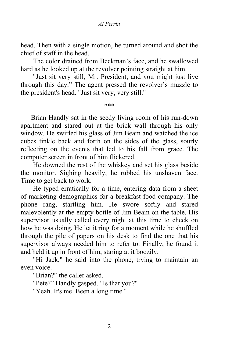head. Then with a single motion, he turned around and shot the chief of staff in the head.

The color drained from Beckman's face, and he swallowed hard as he looked up at the revolver pointing straight at him.

"Just sit very still, Mr. President, and you might just live through this day." The agent pressed the revolver's muzzle to the president's head. "Just sit very, very still."

\*\*\*

Brian Handly sat in the seedy living room of his run-down apartment and stared out at the brick wall through his only window. He swirled his glass of Jim Beam and watched the ice cubes tinkle back and forth on the sides of the glass, sourly reflecting on the events that led to his fall from grace. The computer screen in front of him flickered.

He downed the rest of the whiskey and set his glass beside the monitor. Sighing heavily, he rubbed his unshaven face. Time to get back to work.

He typed erratically for a time, entering data from a sheet of marketing demographics for a breakfast food company. The phone rang, startling him. He swore softly and stared malevolently at the empty bottle of Jim Beam on the table. His supervisor usually called every night at this time to check on how he was doing. He let it ring for a moment while he shuffled through the pile of papers on his desk to find the one that his supervisor always needed him to refer to. Finally, he found it and held it up in front of him, staring at it boozily.

"Hi Jack," he said into the phone, trying to maintain an even voice.

"Brian?" the caller asked.

"Pete?" Handly gasped. "Is that you?"

"Yeah. It's me. Been a long time."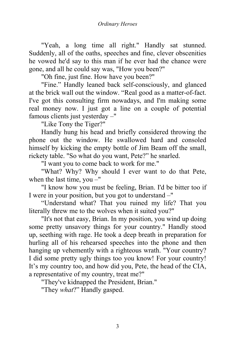"Yeah, a long time all right." Handly sat stunned. Suddenly, all of the oaths, speeches and fine, clever obscenities he vowed he'd say to this man if he ever had the chance were gone, and all he could say was, "How you been?"

"Oh fine, just fine. How have you been?"

"Fine." Handly leaned back self-consciously, and glanced at the brick wall out the window. "Real good as a matter-of-fact. I've got this consulting firm nowadays, and I'm making some real money now. I just got a line on a couple of potential famous clients just yesterday –"

"Like Tony the Tiger?"

Handly hung his head and briefly considered throwing the phone out the window. He swallowed hard and consoled himself by kicking the empty bottle of Jim Beam off the small, rickety table. "So what do you want, Pete?" he snarled.

"I want you to come back to work for me."

"What? Why? Why should I ever want to do that Pete, when the last time, you –"

"I know how you must be feeling, Brian. I'd be bitter too if I were in your position, but you got to understand –"

"Understand what? That you ruined my life? That you literally threw me to the wolves when it suited you?"

"It's not that easy, Brian. In my position, you wind up doing some pretty unsavory things for your country." Handly stood up, seething with rage. He took a deep breath in preparation for hurling all of his rehearsed speeches into the phone and then hanging up vehemently with a righteous wrath. "Your country? I did some pretty ugly things too you know! For your country! It's my country too, and how did you, Pete, the head of the CIA, a representative of my country, treat me?"

"They've kidnapped the President, Brian."

"They *what*?" Handly gasped.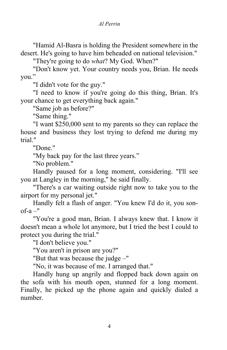"Hamid Al-Basra is holding the President somewhere in the desert. He's going to have him beheaded on national television."

"They're going to do *what*? My God. When?"

"Don't know yet. Your country needs you, Brian. He needs you."

"I didn't vote for the guy."

"I need to know if you're going do this thing, Brian. It's your chance to get everything back again."

"Same job as before?"

"Same thing."

"I want \$250,000 sent to my parents so they can replace the house and business they lost trying to defend me during my trial."

"Done."

"My back pay for the last three years."

"No problem."

Handly paused for a long moment, considering. "I'll see you at Langley in the morning," he said finally.

"There's a car waiting outside right now to take you to the airport for my personal jet."

Handly felt a flash of anger. "You knew I'd do it, you son $of-a -$ "

"You're a good man, Brian. I always knew that. I know it doesn't mean a whole lot anymore, but I tried the best I could to protect you during the trial."

"I don't believe you."

"You aren't in prison are you?"

"But that was because the judge –"

"No, it was because of me. I arranged that."

Handly hung up angrily and flopped back down again on the sofa with his mouth open, stunned for a long moment. Finally, he picked up the phone again and quickly dialed a number.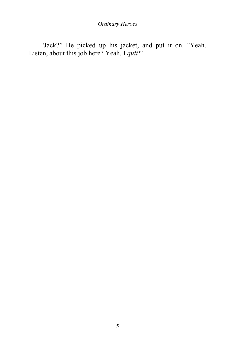*Ordinary Heroes*

"Jack?" He picked up his jacket, and put it on. "Yeah. Listen, about this job here? Yeah. I *quit!*"